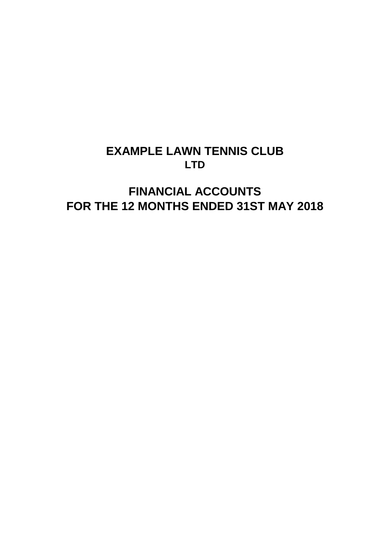# **EXAMPLE LAWN TENNIS CLUB LTD**

# **FINANCIAL ACCOUNTS FOR THE 12 MONTHS ENDED 31ST MAY 2018**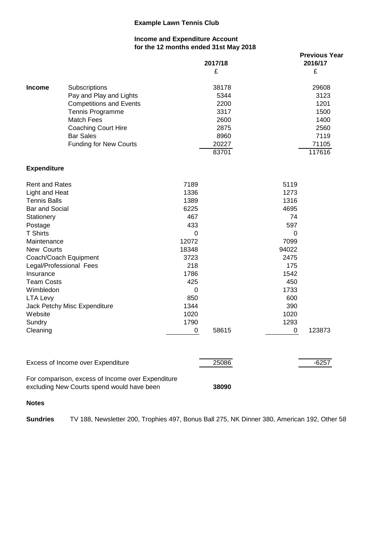#### **Income and Expenditure Account for the 12 months ended 31st May 2018**

|                                                                                                                                                                                                                                                              |                                                                                                                                                                                                        |                                                                                                                                          | 2017/18<br>£                                                            |                                                                                                                                          | <b>Previous Year</b><br>2016/17<br>£                                     |
|--------------------------------------------------------------------------------------------------------------------------------------------------------------------------------------------------------------------------------------------------------------|--------------------------------------------------------------------------------------------------------------------------------------------------------------------------------------------------------|------------------------------------------------------------------------------------------------------------------------------------------|-------------------------------------------------------------------------|------------------------------------------------------------------------------------------------------------------------------------------|--------------------------------------------------------------------------|
| <b>Income</b>                                                                                                                                                                                                                                                | Subscriptions<br>Pay and Play and Lights<br><b>Competitions and Events</b><br>Tennis Programme<br><b>Match Fees</b><br><b>Coaching Court Hire</b><br><b>Bar Sales</b><br><b>Funding for New Courts</b> |                                                                                                                                          | 38178<br>5344<br>2200<br>3317<br>2600<br>2875<br>8960<br>20227<br>83701 |                                                                                                                                          | 29608<br>3123<br>1201<br>1500<br>1400<br>2560<br>7119<br>71105<br>117616 |
| <b>Expenditure</b>                                                                                                                                                                                                                                           |                                                                                                                                                                                                        |                                                                                                                                          |                                                                         |                                                                                                                                          |                                                                          |
| <b>Rent and Rates</b><br>Light and Heat<br><b>Tennis Balls</b><br>Bar and Social<br>Stationery<br>Postage<br><b>T</b> Shirts<br>Maintenance<br>New Courts<br>Insurance<br><b>Team Costs</b><br>Wimbledon<br><b>LTA Levy</b><br>Website<br>Sundry<br>Cleaning | Coach/Coach Equipment<br>Legal/Professional Fees<br>Jack Petchy Misc Expenditure                                                                                                                       | 7189<br>1336<br>1389<br>6225<br>467<br>433<br>0<br>12072<br>18348<br>3723<br>218<br>1786<br>425<br>0<br>850<br>1344<br>1020<br>1790<br>0 | 58615                                                                   | 5119<br>1273<br>1316<br>4695<br>74<br>597<br>0<br>7099<br>94022<br>2475<br>175<br>1542<br>450<br>1733<br>600<br>390<br>1020<br>1293<br>0 | 123873                                                                   |
|                                                                                                                                                                                                                                                              | Excess of Income over Expenditure                                                                                                                                                                      |                                                                                                                                          | 25086                                                                   |                                                                                                                                          | $-6257$                                                                  |
|                                                                                                                                                                                                                                                              | For comparison, excess of Income over Expenditure<br>excluding New Courts spend would have been                                                                                                        |                                                                                                                                          | 38090                                                                   |                                                                                                                                          |                                                                          |

#### **Notes**

**Sundries** TV 188, Newsletter 200, Trophies 497, Bonus Ball 275, NK Dinner 380, American 192, Other 58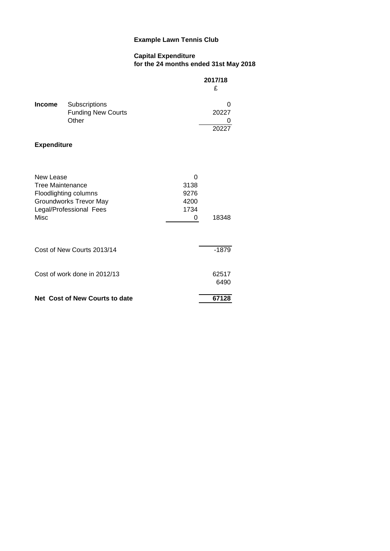#### **Capital Expenditure for the 24 months ended 31st May 2018**

|                                                     |                                                                                   |                                        | 2017/18<br>£        |
|-----------------------------------------------------|-----------------------------------------------------------------------------------|----------------------------------------|---------------------|
| <b>Income</b>                                       | Subscriptions<br><b>Funding New Courts</b><br>Other                               |                                        | 0<br>20227<br>20227 |
| <b>Expenditure</b>                                  |                                                                                   |                                        |                     |
| New Lease<br><b>Tree Maintenance</b><br><b>Misc</b> | Floodlighting columns<br><b>Groundworks Trevor May</b><br>Legal/Professional Fees | 0<br>3138<br>9276<br>4200<br>1734<br>0 | 18348               |
|                                                     | Cost of New Courts 2013/14                                                        |                                        | $-1879$             |
| Cost of work done in 2012/13                        |                                                                                   |                                        | 62517<br>6490       |
|                                                     | Net Cost of New Courts to date                                                    |                                        | 67128               |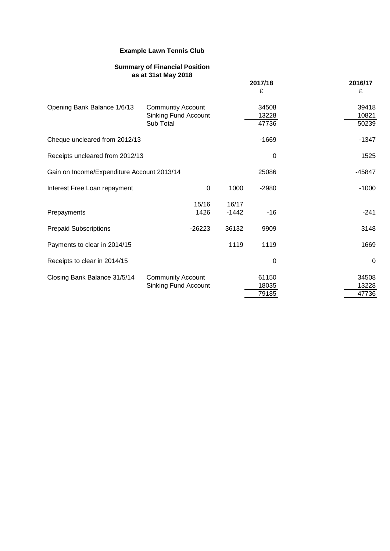## **Summary of Financial Position as at 31st May 2018 2017/18 2016/17**  $E$   $E$ Opening Bank Balance 1/6/13 Communtiy Account 34508 39418 Sinking Fund Account 13228 10821 Sub Total 60239 Cheque uncleared from 2012/13  $-1669$ Receipts uncleared from 2012/13 0 1525 Gain on Income/Expenditure Account 2013/14 25086 25086 -45847 Interest Free Loan repayment 0 1000 -2980 -1000 -1000 15/16 16/17 Prepayments 241 - 241 Prepaid Subscriptions **126223** 36132 9909 3148 Payments to clear in 2014/15 1119 1119 1119 1669 Receipts to clear in 2014/15 0 0 Closing Bank Balance 31/5/14 Community Account 61150 61150 Sinking Fund Account 18035 13228 79185 47736